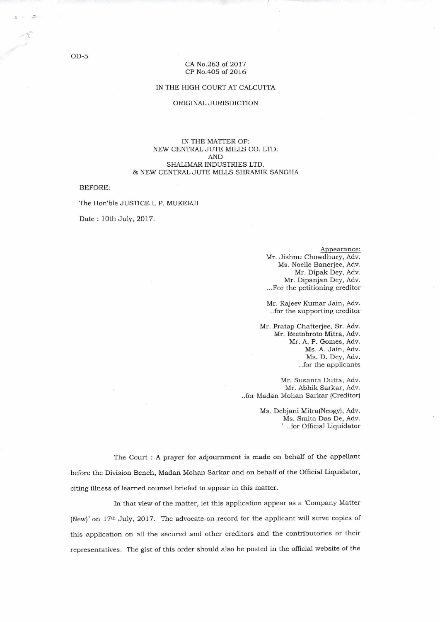### CA No.263 of 2017 CP No.405 of 2016

### IN THE HIGH COURT AT CALCUTTA

### ORIGINAL JURISDICTION

### IN THE MATTER OF: NEW CENTRAL JUTE MILLS CO. LTD. AND SHALIMAR INDUSTRIES LTD. & NEW CENTRAL JUTE MILLS SHRAMIK SANGHA

BEFORE:

The Hon'ble JUSTICE I. P. MUKERJI

Date : 10th July, 2017.

Appearance: Mr. Jishnu Chowdhury, Adv. Ms. Noelle Banerjee, Adv. Mr. Dipak Dey, Adv. Mr. Dipanjan Dey, Adv. ...For the petitioning creditor

Mr. Rajeev Kumar Jain, Adv. ..for the supporting creditor

Mr. Pratap Chatterjee, Sr. Adv. Mr. Reetobroto Mitra, Adv. Mr. A. P. Gomes, Adv. Ms. A. Jain, Adv. Ms. D. Dey, Adv. ..for the applicants

Mr. Susanta Dutta, Adv. Mr. Abhik Sarkar, Adv. ..for Madan Mohan Sarkar (Creditor)

> Ms. Debjani Mitra(Neogy), Adv. Ms. Smita Das De, Adv. ..for Official Liquidator

The Court : A prayer for adjournment is made on behalf of the appellant before the Division Bench, Madan Mohan Sarkar and on behalf of the Official Liquidator, citing illness of learned counsel briefed to appear in this matter.

In that view of the matter, let this application appear as a 'Company Matter (New)' on 17th July, 2017. The advocate-on-record for the applicant will serve copies of this application on all the secured and other creditors and the contributories or their representatives. The gist of this order should also be posted in the official website of the

OD-5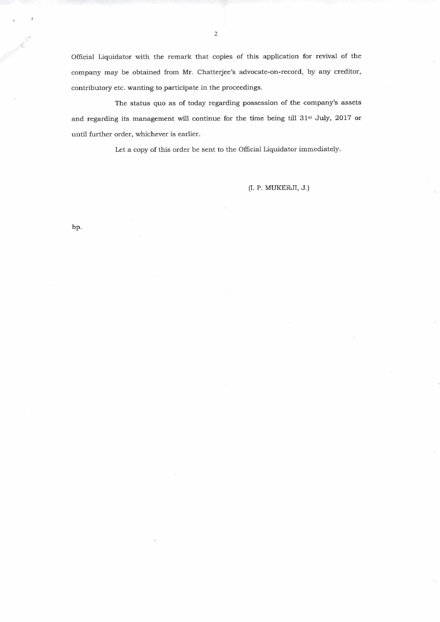Official Liquidator with the remark that copies of this application for revival of the company may be obtained from Mr. Chatterjee's advocate-on-record, by any creditor, contributory etc. wanting to participate in the proceedings.

The status quo as of today regarding possession of the company's assets and regarding its management will continue for the time being till 31st July, 2017 or until further order, whichever is earlier.

Let a copy of this order be sent to the Official Liquidator immediately.

(I. P. MUKERJI, J.)

bp.